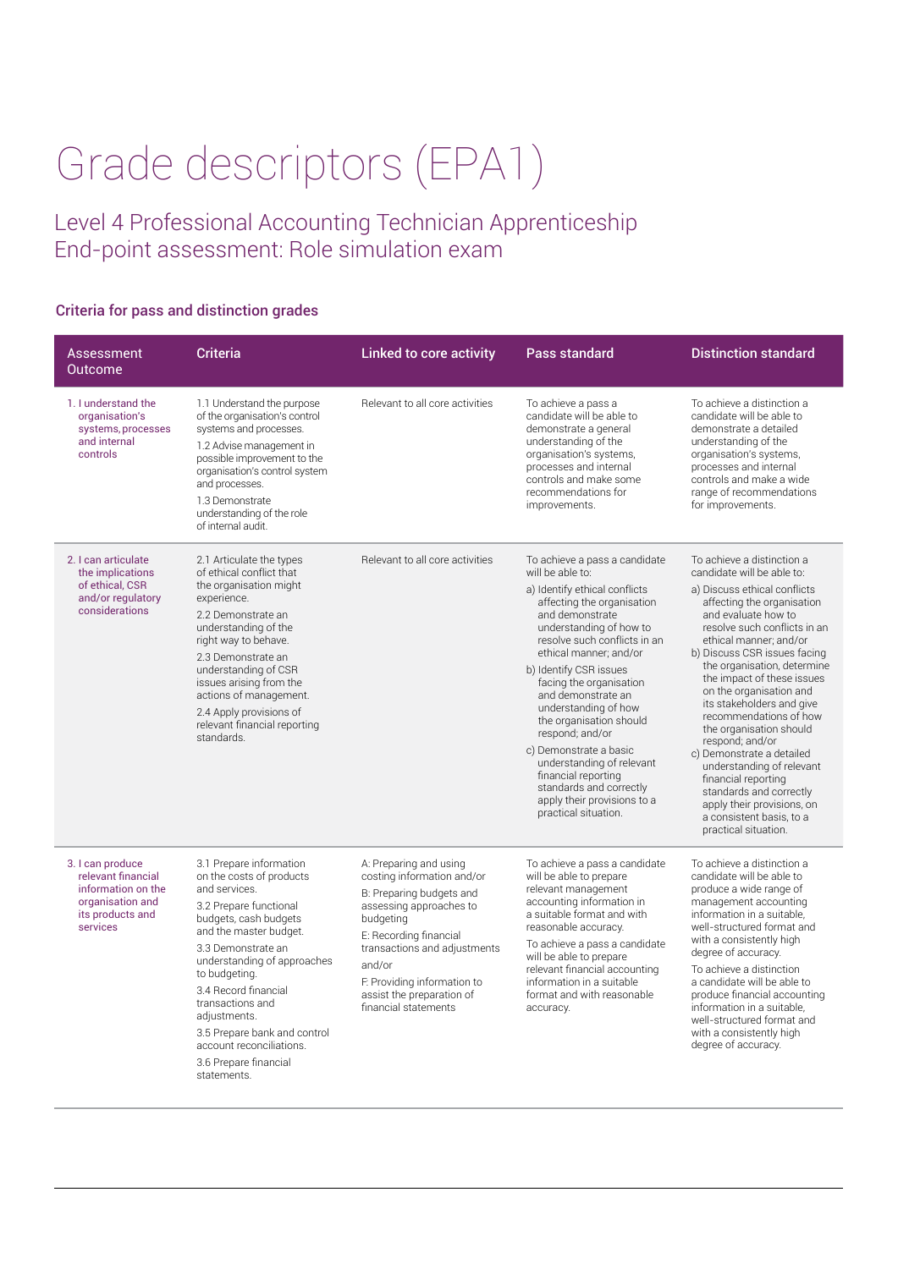## Grade descriptors (EPA1)

Level 4 Professional Accounting Technician Apprenticeship End-point assessment: Role simulation exam

## Criteria for pass and distinction grades

| Assessment<br>Outcome                                                                                            | <b>Criteria</b>                                                                                                                                                                                                                                                                                                                                                                         | <b>Linked to core activity</b>                                                                                                                                                                                                                                                   | <b>Pass standard</b>                                                                                                                                                                                                                                                                                                                                                                                                                                                                                                                      | <b>Distinction standard</b>                                                                                                                                                                                                                                                                                                                                                                                                                                                                                                                                                                                                        |
|------------------------------------------------------------------------------------------------------------------|-----------------------------------------------------------------------------------------------------------------------------------------------------------------------------------------------------------------------------------------------------------------------------------------------------------------------------------------------------------------------------------------|----------------------------------------------------------------------------------------------------------------------------------------------------------------------------------------------------------------------------------------------------------------------------------|-------------------------------------------------------------------------------------------------------------------------------------------------------------------------------------------------------------------------------------------------------------------------------------------------------------------------------------------------------------------------------------------------------------------------------------------------------------------------------------------------------------------------------------------|------------------------------------------------------------------------------------------------------------------------------------------------------------------------------------------------------------------------------------------------------------------------------------------------------------------------------------------------------------------------------------------------------------------------------------------------------------------------------------------------------------------------------------------------------------------------------------------------------------------------------------|
| 1. I understand the<br>organisation's<br>systems, processes<br>and internal<br>controls                          | 1.1 Understand the purpose<br>of the organisation's control<br>systems and processes.<br>1.2 Advise management in<br>possible improvement to the<br>organisation's control system<br>and processes.<br>1.3 Demonstrate<br>understanding of the role<br>of internal audit.                                                                                                               | Relevant to all core activities                                                                                                                                                                                                                                                  | To achieve a pass a<br>candidate will be able to<br>demonstrate a general<br>understanding of the<br>organisation's systems,<br>processes and internal<br>controls and make some<br>recommendations for<br>improvements.                                                                                                                                                                                                                                                                                                                  | To achieve a distinction a<br>candidate will be able to<br>demonstrate a detailed<br>understanding of the<br>organisation's systems,<br>processes and internal<br>controls and make a wide<br>range of recommendations<br>for improvements.                                                                                                                                                                                                                                                                                                                                                                                        |
| 2. I can articulate<br>the implications<br>of ethical, CSR<br>and/or regulatory<br>considerations                | 2.1 Articulate the types<br>of ethical conflict that<br>the organisation might<br>experience.<br>2.2 Demonstrate an<br>understanding of the<br>right way to behave.<br>2.3 Demonstrate an<br>understanding of CSR<br>issues arising from the<br>actions of management.<br>2.4 Apply provisions of<br>relevant financial reporting<br>standards.                                         | Relevant to all core activities                                                                                                                                                                                                                                                  | To achieve a pass a candidate<br>will be able to:<br>a) Identify ethical conflicts<br>affecting the organisation<br>and demonstrate<br>understanding of how to<br>resolve such conflicts in an<br>ethical manner; and/or<br>b) Identify CSR issues<br>facing the organisation<br>and demonstrate an<br>understanding of how<br>the organisation should<br>respond; and/or<br>c) Demonstrate a basic<br>understanding of relevant<br>financial reporting<br>standards and correctly<br>apply their provisions to a<br>practical situation. | To achieve a distinction a<br>candidate will be able to:<br>a) Discuss ethical conflicts<br>affecting the organisation<br>and evaluate how to<br>resolve such conflicts in an<br>ethical manner: and/or<br>b) Discuss CSR issues facing<br>the organisation, determine<br>the impact of these issues<br>on the organisation and<br>its stakeholders and give<br>recommendations of how<br>the organisation should<br>respond; and/or<br>c) Demonstrate a detailed<br>understanding of relevant<br>financial reporting<br>standards and correctly<br>apply their provisions, on<br>a consistent basis, to a<br>practical situation. |
| 3. I can produce<br>relevant financial<br>information on the<br>organisation and<br>its products and<br>services | 3.1 Prepare information<br>on the costs of products<br>and services.<br>3.2 Prepare functional<br>budgets, cash budgets<br>and the master budget.<br>3.3 Demonstrate an<br>understanding of approaches<br>to budgeting.<br>3.4 Record financial<br>transactions and<br>adjustments.<br>3.5 Prepare bank and control<br>account reconciliations.<br>3.6 Prepare financial<br>statements. | A: Preparing and using<br>costing information and/or<br>B: Preparing budgets and<br>assessing approaches to<br>budgeting<br>E: Recording financial<br>transactions and adjustments<br>and/or<br>F. Providing information to<br>assist the preparation of<br>financial statements | To achieve a pass a candidate<br>will be able to prepare<br>relevant management<br>accounting information in<br>a suitable format and with<br>reasonable accuracy.<br>To achieve a pass a candidate<br>will be able to prepare<br>relevant financial accounting<br>information in a suitable<br>format and with reasonable<br>accuracy.                                                                                                                                                                                                   | To achieve a distinction a<br>candidate will be able to<br>produce a wide range of<br>management accounting<br>information in a suitable.<br>well-structured format and<br>with a consistently high<br>degree of accuracy.<br>To achieve a distinction<br>a candidate will be able to<br>produce financial accounting<br>information in a suitable,<br>well-structured format and<br>with a consistently high<br>degree of accuracy.                                                                                                                                                                                               |